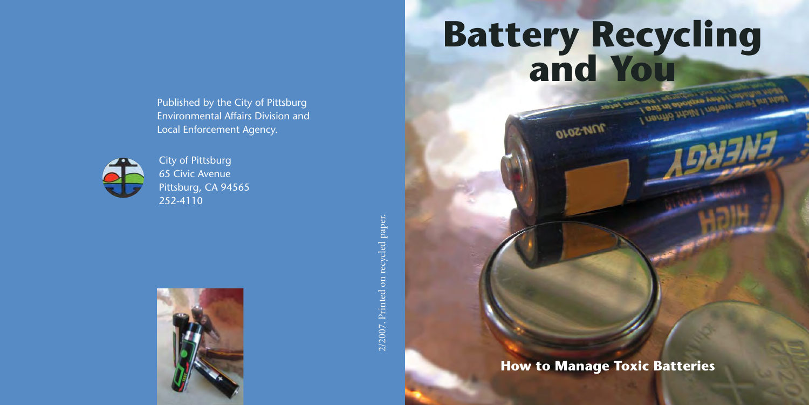Published by the City of Pittsburg Environmental Affairs Division and Local Enforcement Agency.



 City of Pittsburg 65 Civic Avenue Pittsburg, CA 94565 252-4110



2/2007. Printed on recycled paper. 2/2007. Printed on recycled paper.

# **Battery Recycling and You**

**OLOZ-NINE** 

**How to Manage Toxic Batteries**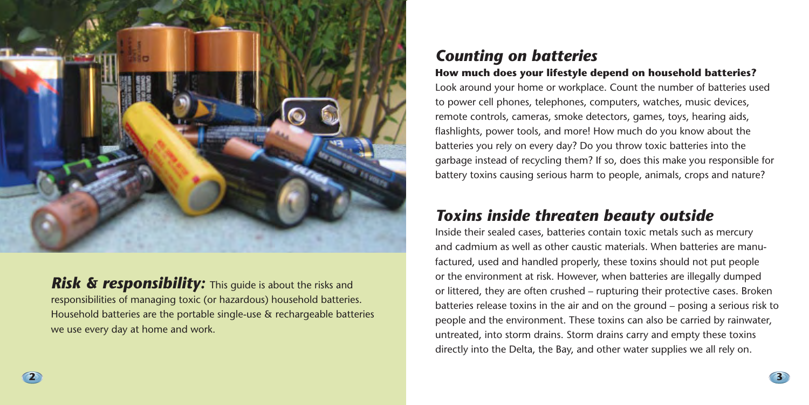

*Risk & responsibility:* This quide is about the risks and responsibilities of managing toxic (or hazardous) household batteries. Household batteries are the portable single-use & rechargeable batteries we use every day at home and work.

## *Counting on batteries*  **How much does your lifestyle depend on household batteries?**

Look around your home or workplace. Count the number of batteries used to power cell phones, telephones, computers, watches, music devices, remote controls, cameras, smoke detectors, games, toys, hearing aids, flashlights, power tools, and more! How much do you know about the batteries you rely on every day? Do you throw toxic batteries into the garbage instead of recycling them? If so, does this make you responsible for battery toxins causing serious harm to people, animals, crops and nature?

# *Toxins inside threaten beauty outside*

Inside their sealed cases, batteries contain toxic metals such as mercury and cadmium as well as other caustic materials. When batteries are manufactured, used and handled properly, these toxins should not put people or the environment at risk. However, when batteries are illegally dumped or littered, they are often crushed – rupturing their protective cases. Broken batteries release toxins in the air and on the ground – posing a serious risk to people and the environment. These toxins can also be carried by rainwater, untreated, into storm drains. Storm drains carry and empty these toxins directly into the Delta, the Bay, and other water supplies we all rely on.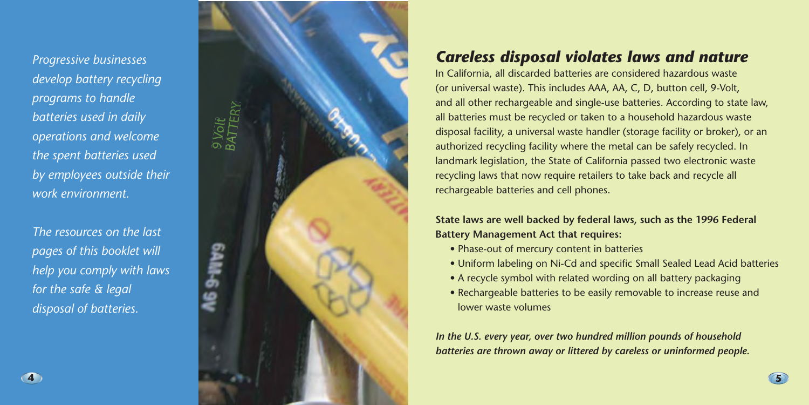*Progressive businesses develop battery recycling programs to handle batteries used in daily operations and welcome the spent batteries used by employees outside their work environment.* 

*The resources on the last pages of this booklet will help you comply with laws for the safe & legal disposal of batteries.* 



# *Careless disposal violates laws and nature*

In California, all discarded batteries are considered hazardous waste (or universal waste). This includes AAA, AA, C, D, button cell, 9-Volt, and all other rechargeable and single-use batteries. According to state law, all batteries must be recycled or taken to a household hazardous waste disposal facility, a universal waste handler (storage facility or broker), or an authorized recycling facility where the metal can be safely recycled. In landmark legislation, the State of California passed two electronic waste recycling laws that now require retailers to take back and recycle all rechargeable batteries and cell phones.

### **State laws are well backed by federal laws, such as the 1996 Federal Battery Management Act that requires:**

- Phase-out of mercury content in batteries
- Uniform labeling on Ni-Cd and specific Small Sealed Lead Acid batteries

**5** 

- A recycle symbol with related wording on all battery packaging
- Rechargeable batteries to be easily removable to increase reuse and lower waste volumes

*In the U.S. every year, over two hundred million pounds of household batteries are thrown away or littered by careless or uninformed people.*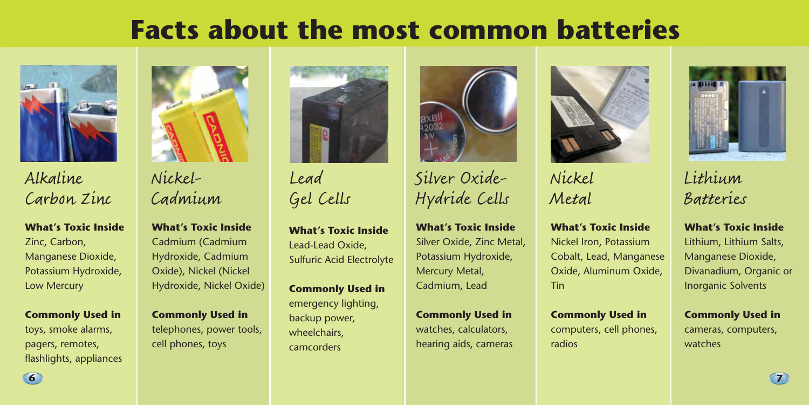# **Facts about the most common batteries**



# Alkaline Carbon Zinc

**What's Toxic Inside** 

Zinc, Carbon, Manganese Dioxide, Potassium Hydroxide, Low Mercury

### **Commonly Used in**

toys, smoke alarms, pagers, remotes, flashlights, appliances



Nickel-Cadmium

**What's Toxic Inside** Cadmium (Cadmium Hydroxide, Cadmium Oxide), Nickel (Nickel Hydroxide, Nickel Oxide)

**Commonly Used in**  telephones, power tools, cell phones, toys



Lead Gel Cells

**What's Toxic Inside**  Lead-Lead Oxide, Sulfuric Acid Electrolyte

**Commonly Used in**  emergency lighting, backup power, wheelchairs, camcorders



Silver Oxide-Hydride Cells

**What's Toxic Inside**  Silver Oxide, Zinc Metal, Potassium Hydroxide, Mercury Metal, Cadmium, Lead

**Commonly Used in**  watches, calculators, hearing aids, cameras

**6 7** 



Nickel Metal

**What's Toxic Inside**  Nickel Iron, Potassium Cobalt, Lead, Manganese Oxide, Aluminum Oxide, Tin

**Commonly Used in**  computers, cell phones, radios



Lithium Batteries

**What's Toxic Inside**  Lithium, Lithium Salts, Manganese Dioxide, Divanadium, Organic or Inorganic Solvents

**Commonly Used in**  cameras, computers, watches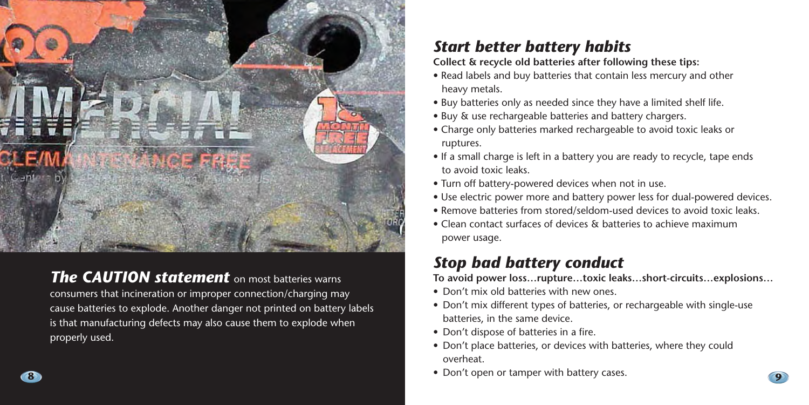

*The CAUTION statement* on most batteries warns consumers that incineration or improper connection/charging may cause batteries to explode. Another danger not printed on battery labels is that manufacturing defects may also cause them to explode when properly used.

# *Start better battery habits*

**Collect & recycle old batteries after following these tips:** 

- Read labels and buy batteries that contain less mercury and other heavy metals.
- Buy batteries only as needed since they have a limited shelf life.
- Buy & use rechargeable batteries and battery chargers.
- Charge only batteries marked rechargeable to avoid toxic leaks or ruptures.
- If a small charge is left in a battery you are ready to recycle, tape ends to avoid toxic leaks.
- Turn off battery-powered devices when not in use.
- Use electric power more and battery power less for dual-powered devices.
- Remove batteries from stored/seldom-used devices to avoid toxic leaks.
- Clean contact surfaces of devices & batteries to achieve maximum power usage.

# *Stop bad battery conduct*

**To avoid power loss…rupture…toxic leaks…short-circuits…explosions…** 

- Don't mix old batteries with new ones.
- Don't mix different types of batteries, or rechargeable with single-use batteries, in the same device.
- Don't dispose of batteries in a fire.
- Don't place batteries, or devices with batteries, where they could overheat.
- Don't open or tamper with battery cases. **8 9**